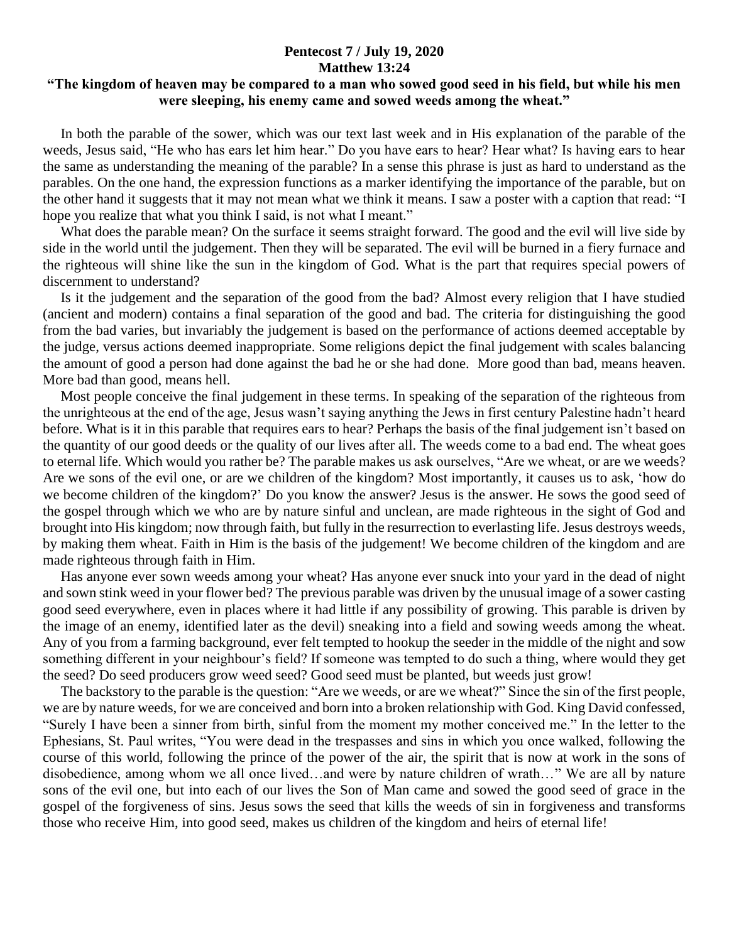## **Pentecost 7 / July 19, 2020 Matthew 13:24**

## **"The kingdom of heaven may be compared to a man who sowed good seed in his field, but while his men were sleeping, his enemy came and sowed weeds among the wheat."**

 In both the parable of the sower, which was our text last week and in His explanation of the parable of the weeds, Jesus said, "He who has ears let him hear." Do you have ears to hear? Hear what? Is having ears to hear the same as understanding the meaning of the parable? In a sense this phrase is just as hard to understand as the parables. On the one hand, the expression functions as a marker identifying the importance of the parable, but on the other hand it suggests that it may not mean what we think it means. I saw a poster with a caption that read: "I hope you realize that what you think I said, is not what I meant."

What does the parable mean? On the surface it seems straight forward. The good and the evil will live side by side in the world until the judgement. Then they will be separated. The evil will be burned in a fiery furnace and the righteous will shine like the sun in the kingdom of God. What is the part that requires special powers of discernment to understand?

 Is it the judgement and the separation of the good from the bad? Almost every religion that I have studied (ancient and modern) contains a final separation of the good and bad. The criteria for distinguishing the good from the bad varies, but invariably the judgement is based on the performance of actions deemed acceptable by the judge, versus actions deemed inappropriate. Some religions depict the final judgement with scales balancing the amount of good a person had done against the bad he or she had done. More good than bad, means heaven. More bad than good, means hell.

 Most people conceive the final judgement in these terms. In speaking of the separation of the righteous from the unrighteous at the end of the age, Jesus wasn't saying anything the Jews in first century Palestine hadn't heard before. What is it in this parable that requires ears to hear? Perhaps the basis of the final judgement isn't based on the quantity of our good deeds or the quality of our lives after all. The weeds come to a bad end. The wheat goes to eternal life. Which would you rather be? The parable makes us ask ourselves, "Are we wheat, or are we weeds? Are we sons of the evil one, or are we children of the kingdom? Most importantly, it causes us to ask, 'how do we become children of the kingdom?' Do you know the answer? Jesus is the answer. He sows the good seed of the gospel through which we who are by nature sinful and unclean, are made righteous in the sight of God and brought into His kingdom; now through faith, but fully in the resurrection to everlasting life. Jesus destroys weeds, by making them wheat. Faith in Him is the basis of the judgement! We become children of the kingdom and are made righteous through faith in Him.

 Has anyone ever sown weeds among your wheat? Has anyone ever snuck into your yard in the dead of night and sown stink weed in your flower bed? The previous parable was driven by the unusual image of a sower casting good seed everywhere, even in places where it had little if any possibility of growing. This parable is driven by the image of an enemy, identified later as the devil) sneaking into a field and sowing weeds among the wheat. Any of you from a farming background, ever felt tempted to hookup the seeder in the middle of the night and sow something different in your neighbour's field? If someone was tempted to do such a thing, where would they get the seed? Do seed producers grow weed seed? Good seed must be planted, but weeds just grow!

 The backstory to the parable is the question: "Are we weeds, or are we wheat?" Since the sin of the first people, we are by nature weeds, for we are conceived and born into a broken relationship with God. King David confessed, "Surely I have been a sinner from birth, sinful from the moment my mother conceived me." In the letter to the Ephesians, St. Paul writes, "You were dead in the trespasses and sins in which you once walked, following the course of this world, following the prince of the power of the air, the spirit that is now at work in the sons of disobedience, among whom we all once lived…and were by nature children of wrath…" We are all by nature sons of the evil one, but into each of our lives the Son of Man came and sowed the good seed of grace in the gospel of the forgiveness of sins. Jesus sows the seed that kills the weeds of sin in forgiveness and transforms those who receive Him, into good seed, makes us children of the kingdom and heirs of eternal life!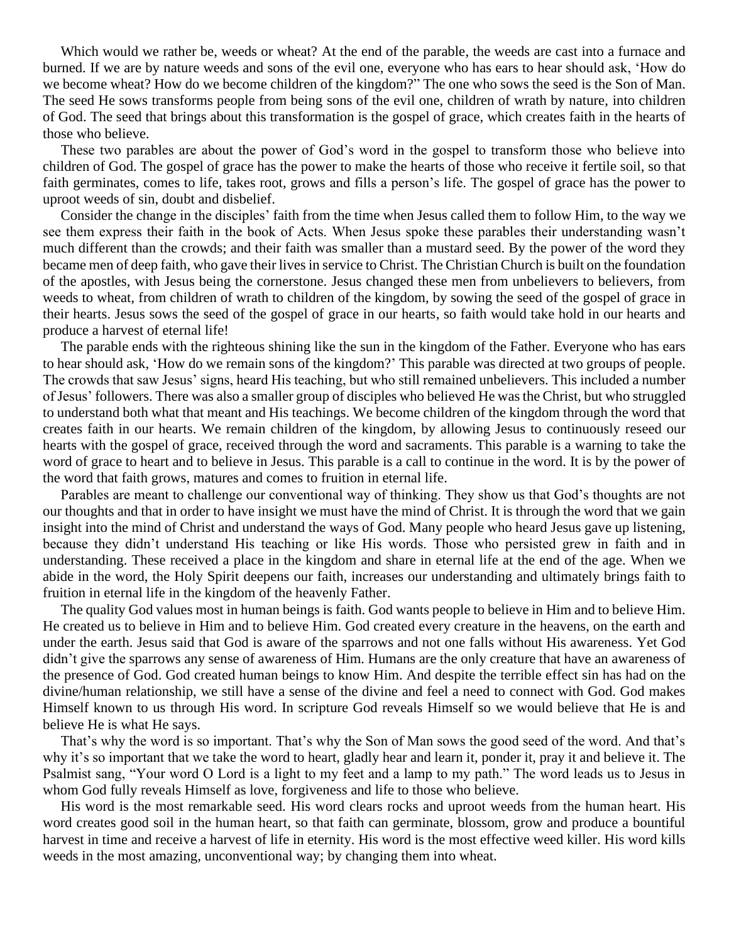Which would we rather be, weeds or wheat? At the end of the parable, the weeds are cast into a furnace and burned. If we are by nature weeds and sons of the evil one, everyone who has ears to hear should ask, 'How do we become wheat? How do we become children of the kingdom?" The one who sows the seed is the Son of Man. The seed He sows transforms people from being sons of the evil one, children of wrath by nature, into children of God. The seed that brings about this transformation is the gospel of grace, which creates faith in the hearts of those who believe.

 These two parables are about the power of God's word in the gospel to transform those who believe into children of God. The gospel of grace has the power to make the hearts of those who receive it fertile soil, so that faith germinates, comes to life, takes root, grows and fills a person's life. The gospel of grace has the power to uproot weeds of sin, doubt and disbelief.

 Consider the change in the disciples' faith from the time when Jesus called them to follow Him, to the way we see them express their faith in the book of Acts. When Jesus spoke these parables their understanding wasn't much different than the crowds; and their faith was smaller than a mustard seed. By the power of the word they became men of deep faith, who gave their lives in service to Christ. The Christian Church is built on the foundation of the apostles, with Jesus being the cornerstone. Jesus changed these men from unbelievers to believers, from weeds to wheat, from children of wrath to children of the kingdom, by sowing the seed of the gospel of grace in their hearts. Jesus sows the seed of the gospel of grace in our hearts, so faith would take hold in our hearts and produce a harvest of eternal life!

 The parable ends with the righteous shining like the sun in the kingdom of the Father. Everyone who has ears to hear should ask, 'How do we remain sons of the kingdom?' This parable was directed at two groups of people. The crowds that saw Jesus' signs, heard His teaching, but who still remained unbelievers. This included a number of Jesus' followers. There was also a smaller group of disciples who believed He was the Christ, but who struggled to understand both what that meant and His teachings. We become children of the kingdom through the word that creates faith in our hearts. We remain children of the kingdom, by allowing Jesus to continuously reseed our hearts with the gospel of grace, received through the word and sacraments. This parable is a warning to take the word of grace to heart and to believe in Jesus. This parable is a call to continue in the word. It is by the power of the word that faith grows, matures and comes to fruition in eternal life.

 Parables are meant to challenge our conventional way of thinking. They show us that God's thoughts are not our thoughts and that in order to have insight we must have the mind of Christ. It is through the word that we gain insight into the mind of Christ and understand the ways of God. Many people who heard Jesus gave up listening, because they didn't understand His teaching or like His words. Those who persisted grew in faith and in understanding. These received a place in the kingdom and share in eternal life at the end of the age. When we abide in the word, the Holy Spirit deepens our faith, increases our understanding and ultimately brings faith to fruition in eternal life in the kingdom of the heavenly Father.

 The quality God values most in human beings is faith. God wants people to believe in Him and to believe Him. He created us to believe in Him and to believe Him. God created every creature in the heavens, on the earth and under the earth. Jesus said that God is aware of the sparrows and not one falls without His awareness. Yet God didn't give the sparrows any sense of awareness of Him. Humans are the only creature that have an awareness of the presence of God. God created human beings to know Him. And despite the terrible effect sin has had on the divine/human relationship, we still have a sense of the divine and feel a need to connect with God. God makes Himself known to us through His word. In scripture God reveals Himself so we would believe that He is and believe He is what He says.

 That's why the word is so important. That's why the Son of Man sows the good seed of the word. And that's why it's so important that we take the word to heart, gladly hear and learn it, ponder it, pray it and believe it. The Psalmist sang, "Your word O Lord is a light to my feet and a lamp to my path." The word leads us to Jesus in whom God fully reveals Himself as love, forgiveness and life to those who believe.

 His word is the most remarkable seed. His word clears rocks and uproot weeds from the human heart. His word creates good soil in the human heart, so that faith can germinate, blossom, grow and produce a bountiful harvest in time and receive a harvest of life in eternity. His word is the most effective weed killer. His word kills weeds in the most amazing, unconventional way; by changing them into wheat.